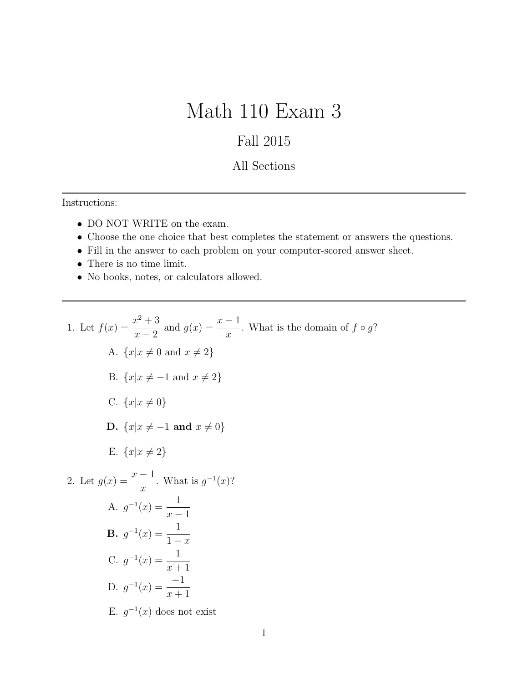## Math 110 Exam 3

## Fall 2015

## All Sections

Instructions:

- DO NOT WRITE on the exam.
- Choose the one choice that best completes the statement or answers the questions.
- Fill in the answer to each problem on your computer-scored answer sheet.
- $\bullet\,$  There is no time limit.
- No books, notes, or calculators allowed.

1. Let 
$$
f(x) = \frac{x^2 + 3}{x - 2}
$$
 and  $g(x) = \frac{x - 1}{x}$ . What is the domain of  $f \circ g$ ?  
\nA.  $\{x | x \neq 0 \text{ and } x \neq 2\}$   
\nB.  $\{x | x \neq -1 \text{ and } x \neq 2\}$   
\nC.  $\{x | x \neq 0\}$   
\nD.  $\{x | x \neq -1 \text{ and } x \neq 0\}$   
\nE.  $\{x | x \neq 2\}$   
\n2. Let  $g(x) = \frac{x - 1}{x}$ . What is  $g^{-1}(x)$ ?  
\nA.  $g^{-1}(x) = \frac{1}{x - 1}$   
\nB.  $g^{-1}(x) = \frac{1}{1 - x}$   
\nC.  $g^{-1}(x) = \frac{1}{x + 1}$   
\nD.  $g^{-1}(x) = \frac{-1}{x + 1}$   
\nE.  $g^{-1}(x)$  does not exist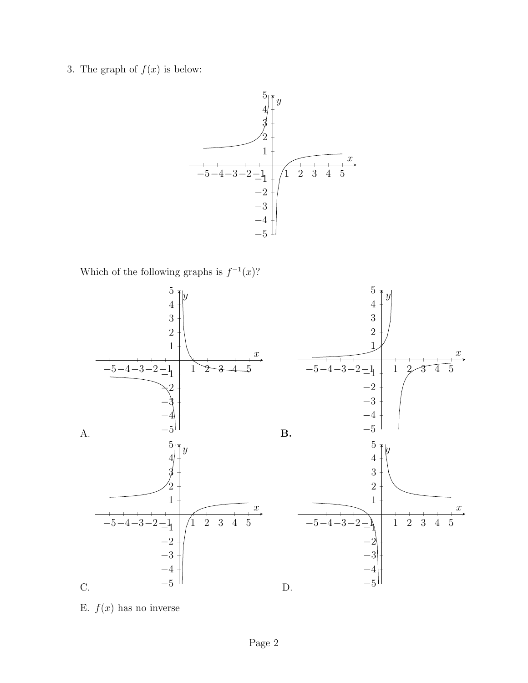3. The graph of  $f(x)$  is below:



Which of the following graphs is  $f^{-1}(x)$ ?



E.  $f(x)$  has no inverse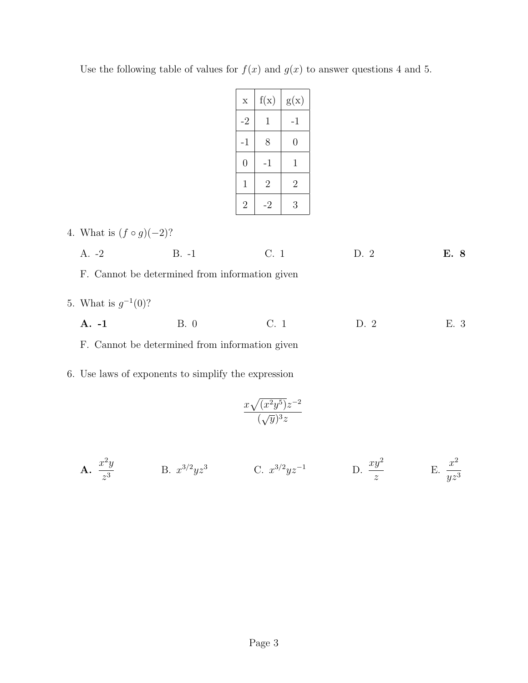| $\mathbf x$    | f(x)           | g(x)           |
|----------------|----------------|----------------|
| $-2$           | 1              | $-1$           |
| $-1$           | 8              | 0              |
| $\overline{0}$ | -1             | 1              |
| 1              | $\overline{2}$ | $\overline{2}$ |
| $\overline{2}$ | -2             | 3              |

Use the following table of values for  $f(x)$  and  $g(x)$  to answer questions 4 and 5.

|  | 4. What is $(f \circ g)(-2)$ ? |  |  |  |  |  |
|--|--------------------------------|--|--|--|--|--|
|--|--------------------------------|--|--|--|--|--|

|  | $A. -2$ | $R - 1$ |  |  | E. 8 |
|--|---------|---------|--|--|------|
|--|---------|---------|--|--|------|

F. Cannot be determined from information given

5. What is  $g^{-1}(0)$ ?

| E. 3<br>B. 0<br>$A. -1$<br>D. 2 |
|---------------------------------|
|---------------------------------|

F. Cannot be determined from information given

6. Use laws of exponents to simplify the expression

$$
\frac{x\sqrt{(x^2y^5)}z^{-2}}{(\sqrt{y})^3z}
$$

A. <sup>x</sup> 2 y z 3 B. x 3/2 yz<sup>3</sup> C. x 3/2 yz<sup>−</sup><sup>1</sup> D. xy<sup>2</sup> z E. <sup>x</sup> 2 yz<sup>3</sup>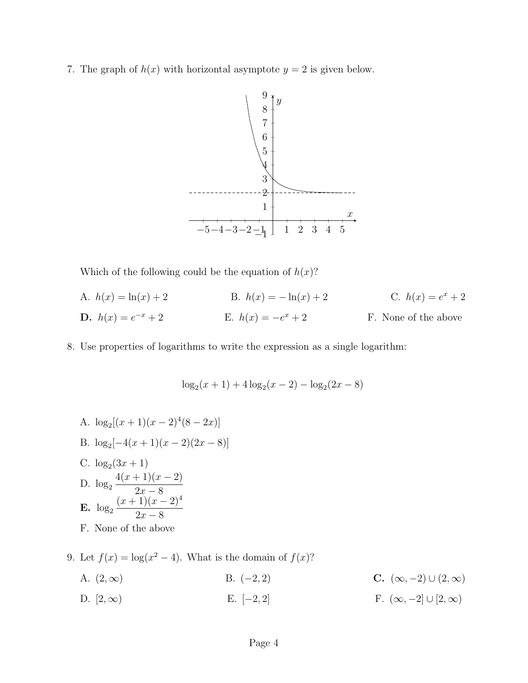7. The graph of  $h(x)$  with horizontal asymptote  $y = 2$  is given below.



Which of the following could be the equation of  $h(x)$ ?

| A. $h(x) = \ln(x) + 2$        | B. $h(x) = -\ln(x) + 2$ | C. $h(x) = e^x + 2$  |
|-------------------------------|-------------------------|----------------------|
| <b>D.</b> $h(x) = e^{-x} + 2$ | E. $h(x) = -e^x + 2$    | F. None of the above |

8. Use properties of logarithms to write the expression as a single logarithm:

$$
\log_2(x+1) + 4\log_2(x-2) - \log_2(2x-8)
$$

A.  $\log_2[(x+1)(x-2)^4(8-2x)]$ B.  $\log_2[-4(x+1)(x-2)(2x-8)]$ C.  $\log_2(3x+1)$ D.  $log_2$  $4(x+1)(x-2)$  $2x - 8$  $E. \log_2$  $(x+1)(x-2)^4$  $2x - 8$ F. None of the above

9. Let  $f(x) = \log(x^2 - 4)$ . What is the domain of  $f(x)$ ?

A.  $(2, \infty)$  B.  $(-2, 2)$  C.  $(\infty, -2) \cup (2, \infty)$ D.  $[2, \infty)$  E.  $[-2, 2]$  F.  $(\infty, -2] \cup [2, \infty)$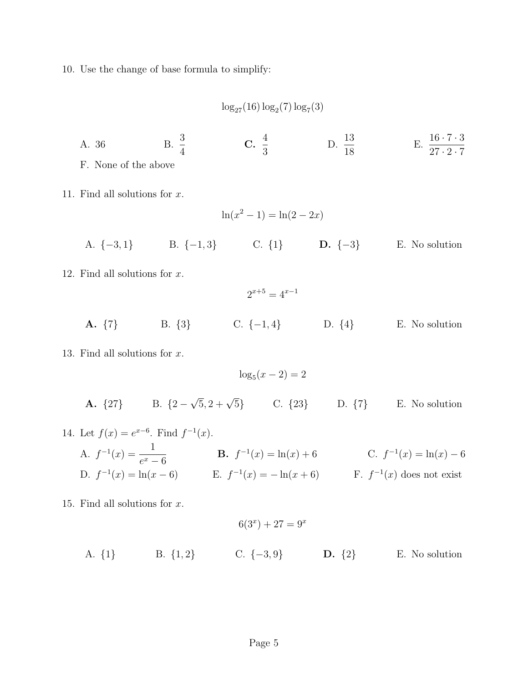10. Use the change of base formula to simplify:

 $\log_{27}(16) \log_2(7) \log_7(3)$ 

A. 36 B.  $\frac{3}{4}$ 4  $\rm{C.}$  $\frac{4}{8}$ 3 D.  $\frac{13}{10}$ 18 E.  $\frac{16 \cdot 7 \cdot 3}{27 \cdot 2 \cdot 7}$  $27 \cdot 2 \cdot 7$ F. None of the above

11. Find all solutions for x.

$$
\ln(x^2 - 1) = \ln(2 - 2x)
$$

- A. {−3, 1} B. {−1, 3} C. {1} D. {−3} E. No solution
- 12. Find all solutions for x.

 $2^{x+5} = 4^{x-1}$ 

A. {7} B. {3} C. {−1, 4} D. {4} E. No solution

13. Find all solutions for x.

 $\log_5(x-2) = 2$ **A.**  $\{27\}$  B.  $\{2 \sqrt{5}$ , 2 +  $\sqrt{5}$ } C. {23} D. {7} E. No solution

14. Let 
$$
f(x) = e^{x-6}
$$
. Find  $f^{-1}(x)$ .  
\nA.  $f^{-1}(x) = \frac{1}{e^x - 6}$   
\nB.  $f^{-1}(x) = \ln(x) + 6$   
\nC.  $f^{-1}(x) = \ln(x) - 6$   
\nD.  $f^{-1}(x) = \ln(x - 6)$   
\nE.  $f^{-1}(x) = -\ln(x + 6)$   
\nE.  $f^{-1}(x) = -\ln(x + 6)$   
\nE.  $f^{-1}(x) = -\ln(x + 6)$   
\nE.  $f^{-1}(x) = -\ln(x + 6)$ 

15. Find all solutions for x.

$$
6(3x) + 27 = 9x
$$
  
A. {1} B. {1,2} C. {-3,9} D. {2} E. No solution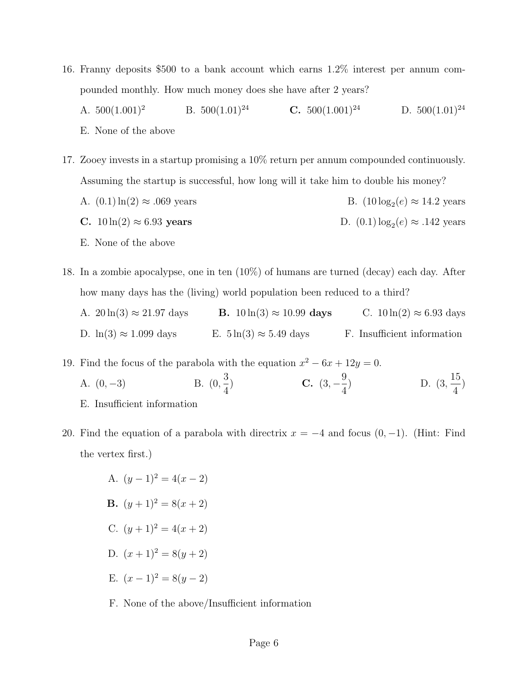- 16. Franny deposits \$500 to a bank account which earns 1.2% interest per annum compounded monthly. How much money does she have after 2 years?
	- A.  $500(1.001)^2$  B.  $500(1.01)^{24}$  C.  $500(1.001)^{24}$  D.  $500(1.01)^{24}$ E. None of the above
- 17. Zooey invests in a startup promising a 10% return per annum compounded continuously. Assuming the startup is successful, how long will it take him to double his money? A.  $(0.1) \ln(2) \approx .069$  years B.  $(10 \log_2(e) \approx 14.2 \text{ years})$ C.  $10 \ln(2) \approx 6.93$  years D.  $(0.1) \log_2(e) \approx .142$  years

E. None of the above

- 18. In a zombie apocalypse, one in ten (10%) of humans are turned (decay) each day. After how many days has the (living) world population been reduced to a third? A.  $20 \ln(3) \approx 21.97 \text{ days}$  B.  $10 \ln(3) \approx 10.99 \text{ days}$  C.  $10 \ln(2) \approx 6.93 \text{ days}$ 
	- D.  $\ln(3) \approx 1.099$  days E.  $5 \ln(3) \approx 5.49$  days F. Insufficient information

19. Find the focus of the parabola with the equation  $x^2 - 6x + 12y = 0$ .

- A.  $(0, -3)$ 3 4 ) C.  $(3, -\frac{9}{4})$ 4  $D. (3,$ 15 4 ) E. Insufficient information
- 20. Find the equation of a parabola with directrix  $x = -4$  and focus  $(0, -1)$ . (Hint: Find the vertex first.)
	- A.  $(y-1)^2 = 4(x-2)$ **B.**  $(y+1)^2 = 8(x+2)$ C.  $(y+1)^2 = 4(x+2)$ D.  $(x+1)^2 = 8(y+2)$ E.  $(x-1)^2 = 8(y-2)$
	- F. None of the above/Insufficient information